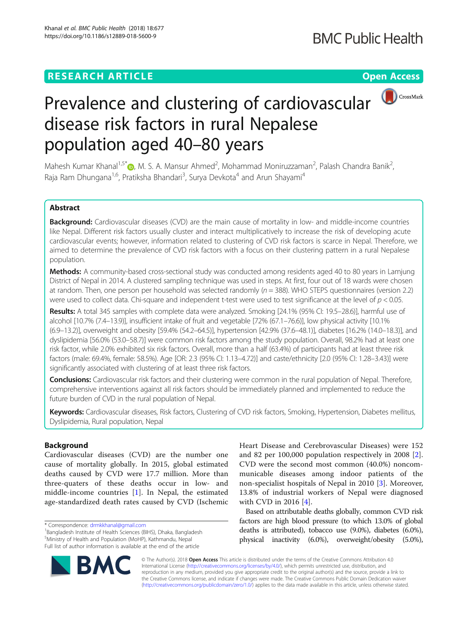# **RESEARCH ARTICLE Example 2018 12:30 THE Open Access**



# Prevalence and clustering of cardiovascular disease risk factors in rural Nepalese population aged 40–80 years

Mahesh Kumar Khanal<sup>1[,](http://orcid.org/0000-0001-5324-2802)5\*</sup> $\textcircled{\tiny D}$ , M. S. A. Mansur Ahmed<sup>2</sup>, Mohammad Moniruzzaman<sup>2</sup>, Palash Chandra Banik<sup>2</sup> , Raja Ram Dhungana<sup>1,6</sup>, Pratiksha Bhandari<sup>3</sup>, Surya Devkota<sup>4</sup> and Arun Shayami<sup>4</sup>

# Abstract

Background: Cardiovascular diseases (CVD) are the main cause of mortality in low- and middle-income countries like Nepal. Different risk factors usually cluster and interact multiplicatively to increase the risk of developing acute cardiovascular events; however, information related to clustering of CVD risk factors is scarce in Nepal. Therefore, we aimed to determine the prevalence of CVD risk factors with a focus on their clustering pattern in a rural Nepalese population.

Methods: A community-based cross-sectional study was conducted among residents aged 40 to 80 years in Lamjung District of Nepal in 2014. A clustered sampling technique was used in steps. At first, four out of 18 wards were chosen at random. Then, one person per household was selected randomly ( $n = 388$ ). WHO STEPS questionnaires (version 2.2) were used to collect data. Chi-square and independent t-test were used to test significance at the level of  $p < 0.05$ .

Results: A total 345 samples with complete data were analyzed. Smoking [24.1% (95% CI: 19.5–28.6)], harmful use of alcohol [10.7% (7.4–13.9)], insufficient intake of fruit and vegetable [72% (67.1–76.6)], low physical activity [10.1% (6.9–13.2)], overweight and obesity [59.4% (54.2–64.5)], hypertension [42.9% (37.6–48.1)], diabetes [16.2% (14.0–18.3)], and dyslipidemia [56.0% (53.0–58.7)] were common risk factors among the study population. Overall, 98.2% had at least one risk factor, while 2.0% exhibited six risk factors. Overall, more than a half (63.4%) of participants had at least three risk factors (male: 69.4%, female: 58.5%). Age [OR: 2.3 (95% CI: 1.13–4.72)] and caste/ethnicity [2.0 (95% CI: 1.28–3.43)] were significantly associated with clustering of at least three risk factors.

Conclusions: Cardiovascular risk factors and their clustering were common in the rural population of Nepal. Therefore, comprehensive interventions against all risk factors should be immediately planned and implemented to reduce the future burden of CVD in the rural population of Nepal.

Keywords: Cardiovascular diseases, Risk factors, Clustering of CVD risk factors, Smoking, Hypertension, Diabetes mellitus, Dyslipidemia, Rural population, Nepal

# Background

Cardiovascular diseases (CVD) are the number one cause of mortality globally. In 2015, global estimated deaths caused by CVD were 17.7 million. More than three-quaters of these deaths occur in low- and middle-income countries [[1\]](#page-10-0). In Nepal, the estimated age-standardized death rates caused by CVD (Ischemic

<sup>&</sup>lt;sup>1</sup>Bangladesh Institute of Health Sciences (BIHS), Dhaka, Bangladesh 5 Ministry of Health and Population (MoHP), Kathmandu, Nepal Full list of author information is available at the end of the article



Heart Disease and Cerebrovascular Diseases) were 152 and 82 per 100,000 population respectively in 2008 [\[2](#page-10-0)]. CVD were the second most common (40.0%) noncommunicable diseases among indoor patients of the non-specialist hospitals of Nepal in 2010 [[3\]](#page-10-0). Moreover, 13.8% of industrial workers of Nepal were diagnosed with CVD in 2016 [\[4](#page-10-0)].

Based on attributable deaths globally, common CVD risk factors are high blood pressure (to which 13.0% of global deaths is attributed), tobacco use (9.0%), diabetes (6.0%), physical inactivity (6.0%), overweight/obesity (5.0%),

© The Author(s). 2018 Open Access This article is distributed under the terms of the Creative Commons Attribution 4.0 International License [\(http://creativecommons.org/licenses/by/4.0/](http://creativecommons.org/licenses/by/4.0/)), which permits unrestricted use, distribution, and reproduction in any medium, provided you give appropriate credit to the original author(s) and the source, provide a link to the Creative Commons license, and indicate if changes were made. The Creative Commons Public Domain Dedication waiver [\(http://creativecommons.org/publicdomain/zero/1.0/](http://creativecommons.org/publicdomain/zero/1.0/)) applies to the data made available in this article, unless otherwise stated.

<sup>\*</sup> Correspondence: [drmkkhanal@gmail.com](mailto:drmkkhanal@gmail.com) <sup>1</sup>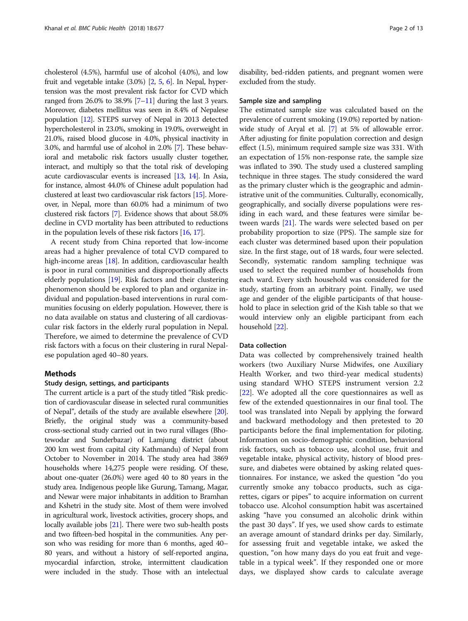cholesterol (4.5%), harmful use of alcohol (4.0%), and low fruit and vegetable intake (3.0%) [[2](#page-10-0), [5](#page-10-0), [6\]](#page-10-0). In Nepal, hypertension was the most prevalent risk factor for CVD which ranged from  $26.0\%$  to  $38.9\%$  [\[7](#page-11-0)–[11](#page-11-0)] during the last 3 years. Moreover, diabetes mellitus was seen in 8.4% of Nepalese population [\[12](#page-11-0)]. STEPS survey of Nepal in 2013 detected hypercholesterol in 23.0%, smoking in 19.0%, overweight in 21.0%, raised blood glucose in 4.0%, physical inactivity in 3.0%, and harmful use of alcohol in 2.0% [\[7\]](#page-11-0). These behavioral and metabolic risk factors usually cluster together, interact, and multiply so that the total risk of developing acute cardiovascular events is increased [[13,](#page-11-0) [14\]](#page-11-0). In Asia, for instance, almost 44.0% of Chinese adult population had clustered at least two cardiovascular risk factors [\[15\]](#page-11-0). Moreover, in Nepal, more than 60.0% had a minimum of two clustered risk factors [\[7\]](#page-11-0). Evidence shows that about 58.0% decline in CVD mortality has been attributed to reductions in the population levels of these risk factors [\[16](#page-11-0), [17\]](#page-11-0).

A recent study from China reported that low-income areas had a higher prevalence of total CVD compared to high-income areas [\[18\]](#page-11-0). In addition, cardiovascular health is poor in rural communities and disproportionally affects elderly populations [[19](#page-11-0)]. Risk factors and their clustering phenomenon should be explored to plan and organize individual and population-based interventions in rural communities focusing on elderly population. However, there is no data available on status and clustering of all cardiovascular risk factors in the elderly rural population in Nepal. Therefore, we aimed to determine the prevalence of CVD risk factors with a focus on their clustering in rural Nepalese population aged 40–80 years.

# Methods

#### Study design, settings, and participants

The current article is a part of the study titled "Risk prediction of cardiovascular disease in selected rural communities of Nepal", details of the study are available elsewhere [\[20](#page-11-0)]. Briefly, the original study was a community-based cross-sectional study carried out in two rural villages (Bhotewodar and Sunderbazar) of Lamjung district (about 200 km west from capital city Kathmandu) of Nepal from October to November in 2014. The study area had 3869 households where 14,275 people were residing. Of these, about one-quater (26.0%) were aged 40 to 80 years in the study area. Indigenous people like Gurung, Tamang, Magar, and Newar were major inhabitants in addition to Bramhan and Kshetri in the study site. Most of them were involved in agricultural work, livestock activities, grocery shops, and locally available jobs [[21\]](#page-11-0). There were two sub-health posts and two fifteen-bed hospital in the communities. Any person who was residing for more than 6 months, aged 40– 80 years, and without a history of self-reported angina, myocardial infarction, stroke, intermittent claudication were included in the study. Those with an intelectual disability, bed-ridden patients, and pregnant women were excluded from the study.

#### Sample size and sampling

The estimated sample size was calculated based on the prevalence of current smoking (19.0%) reported by nationwide study of Aryal et al. [\[7](#page-11-0)] at 5% of allowable error. After adjusting for finite population correction and design effect (1.5), minimum required sample size was 331. With an expectation of 15% non-response rate, the sample size was inflated to 390. The study used a clustered sampling technique in three stages. The study considered the ward as the primary cluster which is the geographic and administrative unit of the communities. Culturally, economically, geographically, and socially diverse populations were residing in each ward, and these features were similar between wards [\[21\]](#page-11-0). The wards were selected based on per probability proportion to size (PPS). The sample size for each cluster was determined based upon their population size. In the first stage, out of 18 wards, four were selected. Secondly, systematic random sampling technique was used to select the required number of households from each ward. Every sixth household was considered for the study, starting from an arbitrary point. Finally, we used age and gender of the eligible participants of that household to place in selection grid of the Kish table so that we would interview only an eligible participant from each household [[22](#page-11-0)].

### Data collection

Data was collected by comprehensively trained health workers (two Auxiliary Nurse Midwifes, one Auxiliary Health Worker, and two third-year medical students) using standard WHO STEPS instrument version 2.2 [[22\]](#page-11-0). We adopted all the core questionnaires as well as few of the extended questionnaires in our final tool. The tool was translated into Nepali by applying the forward and backward methodology and then pretested to 20 participants before the final implementation for piloting. Information on socio-demographic condition, behavioral risk factors, such as tobacco use, alcohol use, fruit and vegetable intake, physical activity, history of blood pressure, and diabetes were obtained by asking related questionnaires. For instance, we asked the question "do you currently smoke any tobacco products, such as cigarettes, cigars or pipes" to acquire information on current tobacco use. Alcohol consumption habit was ascertained asking "have you consumed an alcoholic drink within the past 30 days". If yes, we used show cards to estimate an average amount of standard drinks per day. Similarly, for assessing fruit and vegetable intake, we asked the question, "on how many days do you eat fruit and vegetable in a typical week". If they responded one or more days, we displayed show cards to calculate average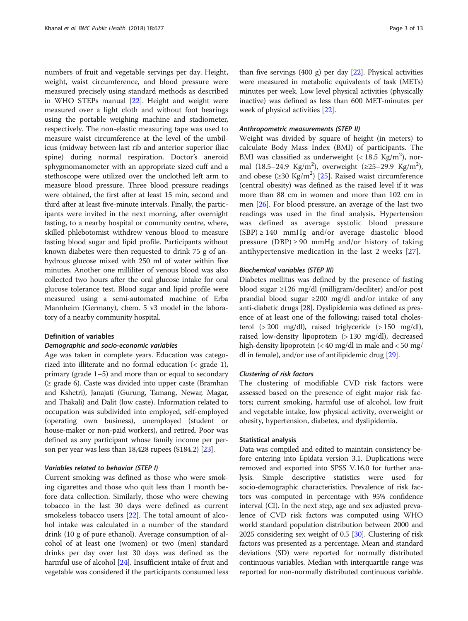numbers of fruit and vegetable servings per day. Height, weight, waist circumference, and blood pressure were measured precisely using standard methods as described in WHO STEPs manual [[22\]](#page-11-0). Height and weight were measured over a light cloth and without foot bearings using the portable weighing machine and stadiometer, respectively. The non-elastic measuring tape was used to measure waist circumference at the level of the umbilicus (midway between last rib and anterior superior iliac spine) during normal respiration. Doctor's aneroid sphygmomanometer with an appropriate sized cuff and a stethoscope were utilized over the unclothed left arm to measure blood pressure. Three blood pressure readings were obtained, the first after at least 15 min, second and third after at least five-minute intervals. Finally, the participants were invited in the next morning, after overnight fasting, to a nearby hospital or community centre, where, skilled phlebotomist withdrew venous blood to measure fasting blood sugar and lipid profile. Participants without known diabetes were then requested to drink 75 g of anhydrous glucose mixed with 250 ml of water within five minutes. Another one milliliter of venous blood was also collected two hours after the oral glucose intake for oral glucose tolerance test. Blood sugar and lipid profile were measured using a semi-automated machine of Erba Mannheim (Germany), chem. 5 v3 model in the laboratory of a nearby community hospital.

# Definition of variables

# Demographic and socio-economic variables

Age was taken in complete years. Education was categorized into illiterate and no formal education (< grade 1), primary (grade 1–5) and more than or equal to secondary (≥ grade 6). Caste was divided into upper caste (Bramhan and Kshetri), Janajati (Gurung, Tamang, Newar, Magar, and Thakali) and Dalit (low caste). Information related to occupation was subdivided into employed, self-employed (operating own business), unemployed (student or house-maker or non-paid workers), and retired. Poor was defined as any participant whose family income per person per year was less than 18,428 rupees (\$184.2) [[23](#page-11-0)].

# Variables related to behavior (STEP I)

Current smoking was defined as those who were smoking cigarettes and those who quit less than 1 month before data collection. Similarly, those who were chewing tobacco in the last 30 days were defined as current smokeless tobacco users [[22\]](#page-11-0). The total amount of alcohol intake was calculated in a number of the standard drink (10 g of pure ethanol). Average consumption of alcohol of at least one (women) or two (men) standard drinks per day over last 30 days was defined as the harmful use of alcohol [[24](#page-11-0)]. Insufficient intake of fruit and vegetable was considered if the participants consumed less

than five servings (400 g) per day [[22](#page-11-0)]. Physical activities were measured in metabolic equivalents of task (METs) minutes per week. Low level physical activities (physically inactive) was defined as less than 600 MET-minutes per week of physical activities [[22](#page-11-0)].

#### Anthropometric measurements (STEP II)

Weight was divided by square of height (in meters) to calculate Body Mass Index (BMI) of participants. The BMI was classified as underweight  $(< 18.5 \text{ Kg/m}^2)$ , normal (18.5-24.9 Kg/m<sup>2</sup>), overweight (≥25-29.9 Kg/m<sup>2</sup>), and obese (≥30 Kg/m<sup>2</sup>) [[25\]](#page-11-0). Raised waist circumference (central obesity) was defined as the raised level if it was more than 88 cm in women and more than 102 cm in men [\[26](#page-11-0)]. For blood pressure, an average of the last two readings was used in the final analysis. Hypertension was defined as average systolic blood pressure  $(SBP) \ge 140$  mmHg and/or average diastolic blood pressure (DBP)  $\geq$  90 mmHg and/or history of taking antihypertensive medication in the last 2 weeks [[27\]](#page-11-0).

### Biochemical variables (STEP III)

Diabetes mellitus was defined by the presence of fasting blood sugar ≥126 mg/dl (milligram/deciliter) and/or post prandial blood sugar ≥200 mg/dl and/or intake of any anti-diabetic drugs [\[28\]](#page-11-0). Dyslipidemia was defined as presence of at least one of the following; raised total cholesterol (> 200 mg/dl), raised triglyceride (> 150 mg/dl), raised low-density lipoprotein (> 130 mg/dl), decreased high-density lipoprotein (< 40 mg/dl in male and < 50 mg/ dl in female), and/or use of antilipidemic drug [\[29\]](#page-11-0).

# Clustering of risk factors

The clustering of modifiable CVD risk factors were assessed based on the presence of eight major risk factors; current smoking, harmful use of alcohol, low fruit and vegetable intake, low physical activity, overweight or obesity, hypertension, diabetes, and dyslipidemia.

#### Statistical analysis

Data was compiled and edited to maintain consistency before entering into Epidata version 3.1. Duplications were removed and exported into SPSS V.16.0 for further analysis. Simple descriptive statistics were used for socio-demographic characteristics. Prevalence of risk factors was computed in percentage with 95% confidence interval (CI). In the next step, age and sex adjusted prevalence of CVD risk factors was computed using WHO world standard population distribution between 2000 and 2025 considering sex weight of 0.5 [[30](#page-11-0)]. Clustering of risk factors was presented as a percentage. Mean and standard deviations (SD) were reported for normally distributed continuous variables. Median with interquartile range was reported for non-normally distributed continuous variable.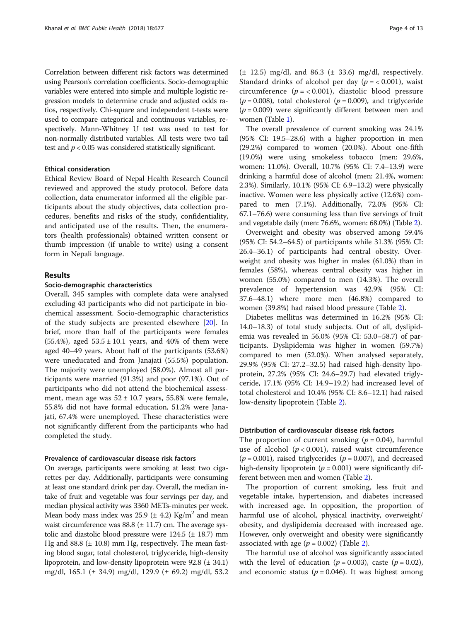Correlation between different risk factors was determined using Pearson's correlation coefficients. Socio-demographic variables were entered into simple and multiple logistic regression models to determine crude and adjusted odds ratios, respectively. Chi-square and independent t-tests were used to compare categorical and continuous variables, respectively. Mann-Whitney U test was used to test for non-normally distributed variables. All tests were two tail test and  $p < 0.05$  was considered statistically significant.

### Ethical consideration

Ethical Review Board of Nepal Health Research Council reviewed and approved the study protocol. Before data collection, data enumerator informed all the eligible participants about the study objectives, data collection procedures, benefits and risks of the study, confidentiality, and anticipated use of the results. Then, the enumerators (health professionals) obtained written consent or thumb impression (if unable to write) using a consent form in Nepali language.

# Results

#### Socio-demographic characteristics

Overall, 345 samples with complete data were analysed excluding 43 participants who did not participate in biochemical assessment. Socio-demographic characteristics of the study subjects are presented elsewhere [[20\]](#page-11-0). In brief, more than half of the participants were females (55.4%), aged  $53.5 \pm 10.1$  years, and 40% of them were aged 40–49 years. About half of the participants (53.6%) were uneducated and from Janajati (55.5%) population. The majority were unemployed (58.0%). Almost all participants were married (91.3%) and poor (97.1%). Out of participants who did not attend the biochemical assessment, mean age was  $52 \pm 10.7$  years, 55.8% were female, 55.8% did not have formal education, 51.2% were Janajati, 67.4% were unemployed. These characteristics were not significantly different from the participants who had completed the study.

## Prevalence of cardiovascular disease risk factors

On average, participants were smoking at least two cigarettes per day. Additionally, participants were consuming at least one standard drink per day. Overall, the median intake of fruit and vegetable was four servings per day, and median physical activity was 3360 METs-minutes per week. Mean body mass index was 25.9 ( $\pm$  4.2) Kg/m<sup>2</sup> and mean waist circumference was  $88.8 \pm 11.7$  cm. The average systolic and diastolic blood pressure were 124.5 (± 18.7) mm Hg and 88.8  $(\pm 10.8)$  mm Hg, respectively. The mean fasting blood sugar, total cholesterol, triglyceride, high-density lipoprotein, and low-density lipoprotein were  $92.8 \ (\pm \ 34.1)$ mg/dl, 165.1 (± 34.9) mg/dl, 129.9 (± 69.2) mg/dl, 53.2

 $(\pm 12.5)$  mg/dl, and 86.3  $(\pm 33.6)$  mg/dl, respectively. Standard drinks of alcohol per day ( $p = < 0.001$ ), waist circumference  $(p = 0.001)$ , diastolic blood pressure  $(p = 0.008)$ , total cholesterol  $(p = 0.009)$ , and triglyceride  $(p = 0.009)$  were significantly different between men and women (Table [1](#page-4-0)).

The overall prevalence of current smoking was 24.1% (95% CI: 19.5–28.6) with a higher proportion in men (29.2%) compared to women (20.0%). About one-fifth (19.0%) were using smokeless tobacco (men: 29.6%, women: 11.0%). Overall, 10.7% (95% CI: 7.4–13.9) were drinking a harmful dose of alcohol (men: 21.4%, women: 2.3%). Similarly, 10.1% (95% CI: 6.9–13.2) were physically inactive. Women were less physically active (12.6%) compared to men (7.1%). Additionally, 72.0% (95% CI: 67.1–76.6) were consuming less than five servings of fruit and vegetable daily (men: 76.6%, women: 68.0%) (Table [2\)](#page-5-0).

Overweight and obesity was observed among 59.4% (95% CI: 54.2–64.5) of participants while 31.3% (95% CI: 26.4–36.1) of participants had central obesity. Overweight and obesity was higher in males (61.0%) than in females (58%), whereas central obesity was higher in women (55.0%) compared to men (14.3%). The overall prevalence of hypertension was 42.9% (95% CI: 37.6–48.1) where more men (46.8%) compared to women (39.8%) had raised blood pressure (Table [2\)](#page-5-0).

Diabetes mellitus was determined in 16.2% (95% CI: 14.0–18.3) of total study subjects. Out of all, dyslipidemia was revealed in 56.0% (95% CI: 53.0–58.7) of participants. Dyslipidemia was higher in women (59.7%) compared to men (52.0%). When analysed separately, 29.9% (95% CI: 27.2–32.5) had raised high-density lipoprotein, 27.2% (95% CI: 24.6–29.7) had elevated triglyceride, 17.1% (95% CI: 14.9–19.2) had increased level of total cholesterol and 10.4% (95% CI: 8.6–12.1) had raised low-density lipoprotein (Table [2\)](#page-5-0).

# Distribution of cardiovascular disease risk factors

The proportion of current smoking ( $p = 0.04$ ), harmful use of alcohol ( $p < 0.001$ ), raised waist circumference  $(p = 0.001)$ , raised triglycerides  $(p = 0.007)$ , and decreased high-density lipoprotein ( $p = 0.001$ ) were significantly different between men and women (Table [2\)](#page-5-0).

The proportion of current smoking, less fruit and vegetable intake, hypertension, and diabetes increased with increased age. In opposition, the proportion of harmful use of alcohol, physical inactivity, overweight/ obesity, and dyslipidemia decreased with increased age. However, only overweight and obesity were significantly associated with age  $(p = 0.002)$  $(p = 0.002)$  $(p = 0.002)$  (Table 2).

The harmful use of alcohol was significantly associated with the level of education ( $p = 0.003$ ), caste ( $p = 0.02$ ), and economic status ( $p = 0.046$ ). It was highest among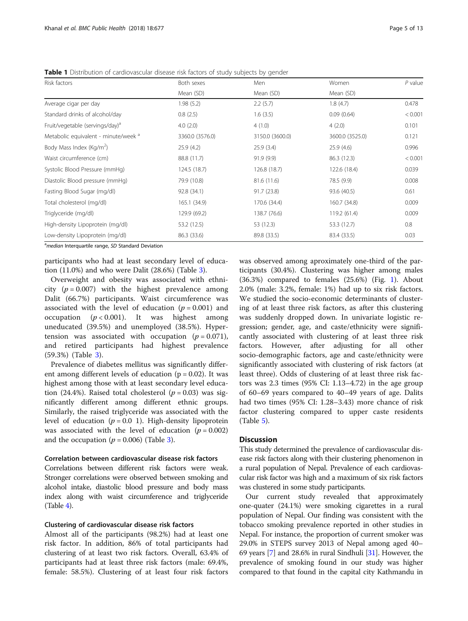| Risk factors                                    | Both sexes      | Men             | Women           | $P$ value |
|-------------------------------------------------|-----------------|-----------------|-----------------|-----------|
|                                                 | Mean (SD)       | Mean (SD)       | Mean (SD)       |           |
| Average cigar per day                           | 1.98(5.2)       | 2.2(5.7)        | 1.8(4.7)        | 0.478     |
| Standard drinks of alcohol/day                  | 0.8(2.5)        | 1.6(3.5)        | 0.09(0.64)      | < 0.001   |
| Fruit/vegetable (servings/day) <sup>a</sup>     | 4.0(2.0)        | 4(1.0)          | 4(2.0)          | 0.101     |
| Metabolic equivalent - minute/week <sup>a</sup> | 3360.0 (3576.0) | 3150.0 (3600.0) | 3600.0 (3525.0) | 0.121     |
| Body Mass Index (Kg/m <sup>2</sup> )            | 25.9(4.2)       | 25.9(3.4)       | 25.9(4.6)       | 0.996     |
| Waist circumference (cm)                        | 88.8 (11.7)     | 91.9(9.9)       | 86.3 (12.3)     | < 0.001   |
| Systolic Blood Pressure (mmHq)                  | 124.5 (18.7)    | 126.8 (18.7)    | 122.6 (18.4)    | 0.039     |
| Diastolic Blood pressure (mmHg)                 | 79.9 (10.8)     | 81.6 (11.6)     | 78.5 (9.9)      | 0.008     |
| Fasting Blood Sugar (mg/dl)                     | 92.8 (34.1)     | 91.7 (23.8)     | 93.6 (40.5)     | 0.61      |
| Total cholesterol (mg/dl)                       | 165.1 (34.9)    | 170.6 (34.4)    | 160.7 (34.8)    | 0.009     |
| Triglyceride (mg/dl)                            | 129.9 (69.2)    | 138.7 (76.6)    | 119.2 (61.4)    | 0.009     |
| High-density Lipoprotein (mg/dl)                | 53.2 (12.5)     | 53 (12.3)       | 53.3 (12.7)     | 0.8       |
| Low-density Lipoprotein (mg/dl)                 | 86.3 (33.6)     | 89.8 (33.5)     | 83.4 (33.5)     | 0.03      |

<span id="page-4-0"></span>Table 1 Distribution of cardiovascular disease risk factors of study subjects by gender

<sup>a</sup>median Interquartile range, SD Standard Deviation

participants who had at least secondary level of education (11.0%) and who were Dalit (28.6%) (Table [3](#page-6-0)).

Overweight and obesity was associated with ethnicity ( $p = 0.007$ ) with the highest prevalence among Dalit (66.7%) participants. Waist circumference was associated with the level of education ( $p = 0.001$ ) and occupation ( $p < 0.001$ ). It was highest among uneducated (39.5%) and unemployed (38.5%). Hypertension was associated with occupation  $(p = 0.071)$ , and retired participants had highest prevalence (59.3%) (Table [3](#page-6-0)).

Prevalence of diabetes mellitus was significantly different among different levels of education ( $p = 0.02$ ). It was highest among those with at least secondary level education (24.4%). Raised total cholesterol ( $p = 0.03$ ) was significantly different among different ethnic groups. Similarly, the raised triglyceride was associated with the level of education  $(p = 0.0 \text{ 1})$ . High-density lipoprotein was associated with the level of education ( $p = 0.002$ ) and the occupation ( $p = 0.006$ ) (Table [3\)](#page-6-0).

## Correlation between cardiovascular disease risk factors

Correlations between different risk factors were weak. Stronger correlations were observed between smoking and alcohol intake, diastolic blood pressure and body mass index along with waist circumference and triglyceride  $(Table 4)$  $(Table 4)$  $(Table 4)$ .

### Clustering of cardiovascular disease risk factors

Almost all of the participants (98.2%) had at least one risk factor. In addition, 86% of total participants had clustering of at least two risk factors. Overall, 63.4% of participants had at least three risk factors (male: 69.4%, female: 58.5%). Clustering of at least four risk factors

was observed among aproximately one-third of the participants (30.4%). Clustering was higher among males (36.3%) compared to females (25.6%) (Fig. [1\)](#page-7-0). About 2.0% (male: 3.2%, female: 1%) had up to six risk factors. We studied the socio-economic determinants of clustering of at least three risk factors, as after this clustering was suddenly dropped down. In univariate logistic regression; gender, age, and caste/ethnicity were significantly associated with clustering of at least three risk factors. However, after adjusting for all other socio-demographic factors, age and caste/ethnicity were significantly associated with clustering of risk factors (at least three). Odds of clustering of at least three risk factors was 2.3 times (95% CI: 1.13–4.72) in the age group of 60–69 years compared to 40–49 years of age. Dalits had two times (95% CI: 1.28–3.43) more chance of risk factor clustering compared to upper caste residents (Table [5\)](#page-8-0).

# **Discussion**

This study determined the prevalence of cardiovascular disease risk factors along with their clustering phenomenon in a rural population of Nepal. Prevalence of each cardiovascular risk factor was high and a maximum of six risk factors was clustered in some study participants.

Our current study revealed that approximately one-quater (24.1%) were smoking cigarettes in a rural population of Nepal. Our finding was consistent with the tobacco smoking prevalence reported in other studies in Nepal. For instance, the proportion of current smoker was 29.0% in STEPS survey 2013 of Nepal among aged 40– 69 years [\[7\]](#page-11-0) and 28.6% in rural Sindhuli [\[31](#page-11-0)]. However, the prevalence of smoking found in our study was higher compared to that found in the capital city Kathmandu in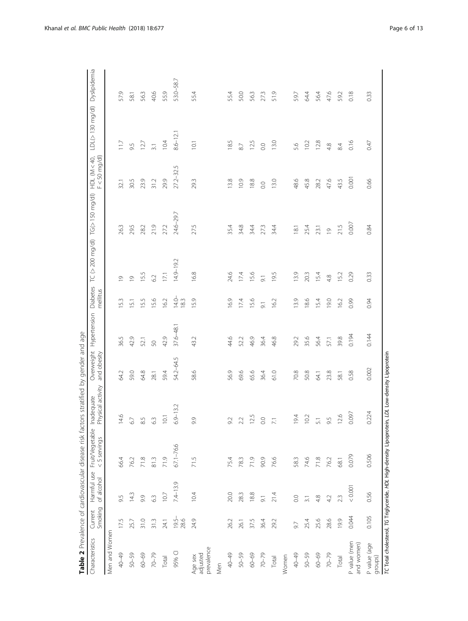<span id="page-5-0"></span>

|                                   |                    |                           |                                                                      | <b>I direct the South Control Control Control Control Control Control Control Control Control Control Control Control Control Control Control Control Control Control Control Control Control Control Control Control Control Co</b> |                           |              |                      |                                  |                |                                   |                               |           |
|-----------------------------------|--------------------|---------------------------|----------------------------------------------------------------------|--------------------------------------------------------------------------------------------------------------------------------------------------------------------------------------------------------------------------------------|---------------------------|--------------|----------------------|----------------------------------|----------------|-----------------------------------|-------------------------------|-----------|
| Characteristics                   | Smoking<br>Current | Harmful use<br>of alcohol | Fruit/Vegetable<br><5 servings                                       | Physical activity<br>Inadequate                                                                                                                                                                                                      | Overweight<br>and obesity | Hypertension | Diabetes<br>mellitus | TC (> 200 mg/dl) TG(> 150 mg/dl) |                | $F < 50$ mg/dl)<br>$HDL$ (M < 40, | LDL(> 130 mg/dl) Dyslipidemia |           |
| Men and Women                     |                    |                           |                                                                      |                                                                                                                                                                                                                                      |                           |              |                      |                                  |                |                                   |                               |           |
| 40-49                             | 17.5               | 9.5                       | 66.4                                                                 | 14.6                                                                                                                                                                                                                                 | 64.2                      | 36.5         | $5.3\,$              | G                                | 26.3           | 32.1                              | 117                           | 57.9      |
| 50-59                             | 25.7               | 14.3                      | 76.2                                                                 | 67                                                                                                                                                                                                                                   | 59.0                      | 42.9         | 5.1                  | $\circ$                          | 29.5           | 30.5                              | 95                            | 58.1      |
| 60-69                             | 31.0               | 9.9                       | 71.8                                                                 | $8.5\,$                                                                                                                                                                                                                              | 64.8                      | 52.1         | 15.5                 | 5.5                              | 28.2           | 23.9                              | 127                           | 56.3      |
| $70 - 79$                         | 31.3               | 63                        | 81.3                                                                 | $63$                                                                                                                                                                                                                                 | 28.1                      | 50           | 15.6                 | 62                               | 21.9           | 31.2                              | $\overline{3.1}$              | 40.6      |
| Total                             | 24.1               | 10.7                      | 71.9                                                                 | 10.1                                                                                                                                                                                                                                 | 59.4                      | 42.9         | 16.2                 | 17.1                             | 27.2           | 29.9                              | 104                           | 55.9      |
| 95% CI                            | $19.5 -$<br>28.6   | $7.4 - 13.9$              | $67.1 - 76.6$                                                        | $6.9 - 13.2$                                                                                                                                                                                                                         | 54.2-64.5                 | 37.6-48.1    | $14.0 -$<br>18.3     | 14.9-19.2                        | 24.6-29.7      | $272 - 32.5$                      | $8.6 - 12.1$                  | 53.0-58.7 |
| prevalence<br>adjusted<br>Age sex | 24.9               | 10.4                      | 71.5                                                                 | 9.9                                                                                                                                                                                                                                  | 58.6                      | 43.2         | 15.9                 | $68$                             | 27.5           | 293                               | 10.1                          | 55.4      |
| Men                               |                    |                           |                                                                      |                                                                                                                                                                                                                                      |                           |              |                      |                                  |                |                                   |                               |           |
| 40-49                             | 26.2               | 20.0                      | 75.4                                                                 | 92                                                                                                                                                                                                                                   | 56.9                      | 44.6         | 16.9                 | 24,6                             | 35.4           | 13.8                              | 185                           | 55.4      |
| $50 - 59$                         | 26.1               | 28.3                      | 78.3                                                                 | 22                                                                                                                                                                                                                                   | 69.6                      | 52.2         | 17.4                 | 174                              | 34.8           | 0.9                               | $87$                          | 50.0      |
| 60-69                             | 37.5               | 18.8                      | 71.9                                                                 | 125                                                                                                                                                                                                                                  | 65.6                      | 46.9         | 15.6                 | 15.6                             | 34.4           | 88                                | 125                           | 56.3      |
| $70 - 79$                         | 36.4               | $\overline{9}$            | 90.9                                                                 | 0.0                                                                                                                                                                                                                                  | 36.4                      | 36.4         | $\overline{5}$       | $\overline{9}$ .                 | 27.3           | $\rm C$                           | $\overline{0}$ .              | 273       |
| Total                             | 29.2               | 21.4                      | 76.6                                                                 | $\mathbb{R}^1$                                                                                                                                                                                                                       | 61.0                      | 46.8         | 16.2                 | 95                               | 34.4           | 13.0                              | 13.0                          | 51.9      |
| Women                             |                    |                           |                                                                      |                                                                                                                                                                                                                                      |                           |              |                      |                                  |                |                                   |                               |           |
| 40-49                             | 9.7                | $_{\rm 0.0}$              | 58.3                                                                 | 194                                                                                                                                                                                                                                  | 70.8                      | 29.2         | 13.9                 | 3.9                              | $\overline{8}$ | 48.6                              | 5.6                           | 59.7      |
| $50 - 59$                         | 25.4               | $\overline{3}$ .          | 74.6                                                                 | 10.2                                                                                                                                                                                                                                 | 50.8                      | 35.6         | 18.6                 | 20.3                             | 25.4           | 45.8                              | 10.2                          | 64.4      |
| 60-69                             | 25.6               | 4.8                       | 71.8                                                                 | $\overline{51}$                                                                                                                                                                                                                      | <b>64.1</b>               | 56.4         | 15.4                 | 54                               | 23.1           | 28.2                              | 12.8                          | 56.4      |
| $70 - 79$                         | 28.6               | 4.2                       | 76.2                                                                 | 9.5                                                                                                                                                                                                                                  | 23.8                      | 57.1         | 0.61                 | 48                               | $\overline{0}$ | 47,6                              | 4.8                           | 47.6      |
| Total                             | 199                | 23                        | 68.1                                                                 | 126                                                                                                                                                                                                                                  | 58.1                      | 39.8         | 16.2                 | 52                               | 21.5           | 43.5                              | 84                            | 59.2      |
| P value (men<br>and women)        | 0.044              | 0.0001                    | 0.079                                                                | 0.097                                                                                                                                                                                                                                | 0.58                      | 0.194        | 0.99                 | 0.29                             | 0.007          | 0.001                             | 0.16                          | 0.18      |
| P value (age<br>groups)           | 0.105              | 0.56                      | 0.506                                                                | 0.224                                                                                                                                                                                                                                | 0.002                     | 0.144        | 0.94                 | 0.33                             | 0.84           | 0.66                              | 0.47                          | 0.33      |
|                                   |                    |                           | TC Total cholesterol, TG Triglyceride, HDL High-density Lipoprotein, | LDL Low-density Lipoprotein                                                                                                                                                                                                          |                           |              |                      |                                  |                |                                   |                               |           |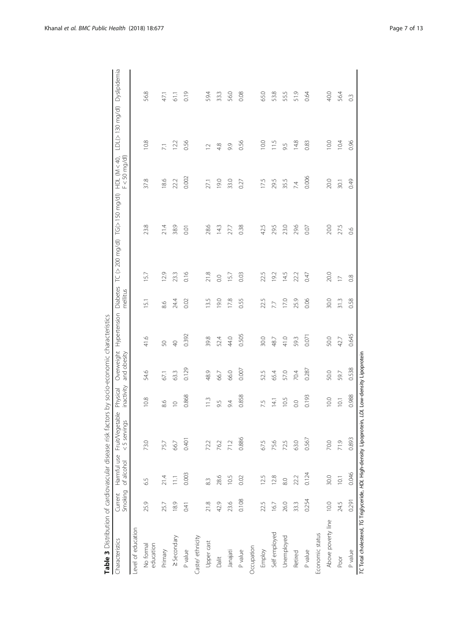| ׅ֘֝֬֝֬<br>$\overline{\phantom{a}}$<br>$\frac{1}{2}$<br>$\mathfrak{c}$<br>،<br>ا<br>ive L | $\begin{bmatrix} 1 & 1 & 1 \\ 1 & 1 & 1 \\ 1 & 1 & 1 \\ 1 & 1 & 1 \\ 1 & 1 & 1 \\ 1 & 1 & 1 \\ 1 & 1 & 1 \\ 1 & 1 & 1 \\ 1 & 1 & 1 \\ 1 & 1 & 1 \\ 1 & 1 & 1 \\ 1 & 1 & 1 \\ 1 & 1 & 1 \\ 1 & 1 & 1 \\ 1 & 1 & 1 & 1 \\ 1 & 1 & 1 & 1 \\ 1 & 1 & 1 & 1 \\ 1 & 1 & 1 & 1 \\ 1 & 1 & 1 & 1 \\ 1 & 1 & 1 & 1 \\ 1 & 1 & 1 & 1 \\ 1 & $<br>$\overline{a}$<br>$\overline{\phantom{a}}$<br>ׅ֚֡֡֬֝֬֝֬֝֬֝<br>j |
|------------------------------------------------------------------------------------------|--------------------------------------------------------------------------------------------------------------------------------------------------------------------------------------------------------------------------------------------------------------------------------------------------------------------------------------------------------------------------------------------------------|
|                                                                                          |                                                                                                                                                                                                                                                                                                                                                                                                        |

<span id="page-6-0"></span>

| Characteristics                                                      | Smoking<br>Current | of alcohol | Harmful use Fruit/Vegetable<br><5 servings | inactivity<br>Physical | Overweight<br>and obesity   |                | mellitus       | Hypertension Diabetes TC (> 200 mg/dl) TG(> 150 mg/dl) HDL (M < 40, |      | $F < 50$ mg/dl) | LDL(> 130 mg/dl) Dyslipidemia |               |
|----------------------------------------------------------------------|--------------------|------------|--------------------------------------------|------------------------|-----------------------------|----------------|----------------|---------------------------------------------------------------------|------|-----------------|-------------------------------|---------------|
| Level of education                                                   |                    |            |                                            |                        |                             |                |                |                                                                     |      |                 |                               |               |
| education<br>No formal                                               | 25.9               | 6.5        | 73.0                                       | 10.8                   | 54.6                        | 41.6           | $\overline{5}$ | 57                                                                  | 23.8 | 37.8            | 10.8                          | 56.8          |
| Primary                                                              | 25.7               | 21.4       | 75.7                                       | 8.6                    | 67.1                        | 50             | 8.6            | 129                                                                 | 21.4 | 18.6            | $\overline{71}$               | 47.1          |
| > Secondary                                                          | 18.9               | 11.1       | 66.7                                       | $\supseteq$            | 63.3                        | $\overline{P}$ | 24.4           | 23.3                                                                | 38.9 | 22.2            | 122                           | 61.1          |
| P value                                                              | 0.41               | 0.003      | 0.401                                      | 0.868                  | 0.129                       | 0.392          | 0.02           | 0.16                                                                | 0.01 | 0.002           | 0.56                          | 0.19          |
| Caste/ethnicity                                                      |                    |            |                                            |                        |                             |                |                |                                                                     |      |                 |                               |               |
| Upper cast                                                           | 21.8               | 83         | 72.2                                       | $\frac{3}{2}$          | 48.9                        | 39.8           | 13.5           | 21.8                                                                | 28.6 | 27.1            | $\sim$                        | 59.4          |
| Dalit                                                                | 42.9               | 28.6       | 76.2                                       | 9.5                    | 66.7                        | 52.4           | 19.0           | 0.0                                                                 | 143  | 19.0            | 4.8                           | 33.3          |
| Janajati                                                             | 23.6               | 10.5       | 71.2                                       | 9.4                    | 66.0                        | 44.0           | 17.8           | 57                                                                  | 27.7 | 33.0            | 9.9                           | 56.0          |
| P value                                                              | 0.108              | 0.02       | 0.886                                      | 0.858                  | 0.007                       | 0.505          | 0.55           | 0.03                                                                | 0.38 | 0.27            | 0.56                          | 0.08          |
| Occupation                                                           |                    |            |                                            |                        |                             |                |                |                                                                     |      |                 |                               |               |
| Employ                                                               | 22.5               | 12.5       | 67.5                                       | 7.5                    | 52.5                        | 30.0           | 22.5           | 22.5                                                                | 42.5 | 17.5            | 10.0                          | 65.0          |
| Self employed                                                        | 16.7               | 12.8       | 75.6                                       | $\frac{1}{4}$          | 65.4                        | 48.7           | 77             | 92                                                                  | 29.5 | 29.5            | 11.5                          | 53.8          |
| Unemployed                                                           | 26.0               | 8.0        | 72.5                                       | 10.5                   | 57.0                        | 41.0           | 17.0           | 14.5                                                                | 23.0 | 35.5            | 9.5                           | 55.5          |
| Retired                                                              | 33.3               | 22.2       | 63.0                                       | $\overline{0}$ .       | 70.4                        | 59.3           | 25.9           | 22.2                                                                | 29.6 | 74              | 148                           | 51.9          |
| P value                                                              | 0.254              | 0.124      | 0.567                                      | 0.193                  | 0.287                       | 0.071          | 0.06           | 0.47                                                                | 0.07 | 0.006           | 0.83                          | 0.64          |
| Economic status                                                      |                    |            |                                            |                        |                             |                |                |                                                                     |      |                 |                               |               |
| Above poverty line                                                   | 10.0               | 30.0       | 70.0                                       | 10.0                   | 50.0                        | 50.0           | 30.0           | 20.0                                                                | 20.0 | 20.0            | 10.0                          | 40.0          |
| Poor                                                                 | 24.5               | 10.1       | 71.9                                       | 10.1                   | 59.7                        | 42.7           | 31.3           | $\geq$                                                              | 27.5 | 30.1            | 10.4                          | 56.4          |
| P value                                                              | 0.291              | 0.046      | 0.893                                      | 0.988                  | 0.538                       | 0.645          | 0.58           | 0.8                                                                 | 66   | 0.49            | 0.96                          | $\frac{3}{2}$ |
| TC Total cholesterol, TG Triglyceride, HDL High-density Lipoprotein, |                    |            |                                            |                        | LDL Low-density Lipoprotein |                |                |                                                                     |      |                 |                               |               |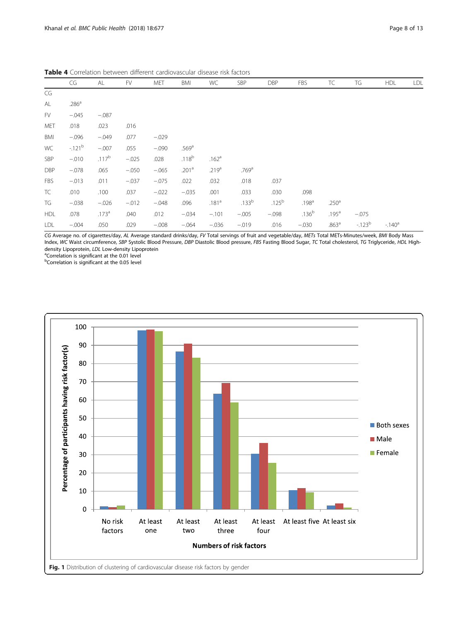|            | CG                | AL                | FV      | MET     | BMI               | WC                | <b>SBP</b>        | <b>DBP</b> | FBS               | TC                | TG         | <b>HDL</b> | <b>LDL</b> |
|------------|-------------------|-------------------|---------|---------|-------------------|-------------------|-------------------|------------|-------------------|-------------------|------------|------------|------------|
| CG         |                   |                   |         |         |                   |                   |                   |            |                   |                   |            |            |            |
| AL         | .286 <sup>a</sup> |                   |         |         |                   |                   |                   |            |                   |                   |            |            |            |
| FV         | $-.045$           | $-.087$           |         |         |                   |                   |                   |            |                   |                   |            |            |            |
| <b>MET</b> | .018              | .023              | .016    |         |                   |                   |                   |            |                   |                   |            |            |            |
| BMI        | $-.096$           | $-.049$           | .077    | $-.029$ |                   |                   |                   |            |                   |                   |            |            |            |
| WC         | $-121^{b}$        | $-.007$           | .055    | $-.090$ | .569 <sup>a</sup> |                   |                   |            |                   |                   |            |            |            |
| <b>SBP</b> | $-.010$           | $.117^{b}$        | $-.025$ | .028    | $.118^{b}$        | .162 <sup>a</sup> |                   |            |                   |                   |            |            |            |
| DBP        | $-.078$           | .065              | $-.050$ | $-.065$ | .201 <sup>a</sup> | .219 <sup>a</sup> | .769a             |            |                   |                   |            |            |            |
| <b>FBS</b> | $-.013$           | .011              | $-.037$ | $-.075$ | .022              | .032              | .018              | .037       |                   |                   |            |            |            |
| TC         | .010              | .100              | .037    | $-.022$ | $-.035$           | .001              | .033              | .030       | .098              |                   |            |            |            |
| TG         | $-.038$           | $-.026$           | $-.012$ | $-.048$ | .096              | .181 <sup>a</sup> | .133 <sup>b</sup> | $.125^{b}$ | .198 <sup>a</sup> | .250 <sup>a</sup> |            |            |            |
| <b>HDL</b> | .078              | .173 <sup>a</sup> | .040    | .012    | $-.034$           | $-.101$           | $-.005$           | $-.098$    | .136 <sup>b</sup> | .195 <sup>a</sup> | $-.075$    |            |            |
| LDL        | $-.004$           | .050              | .029    | $-.008$ | $-.064$           | $-.036$           | $-.019$           | .016       | $-.030$           | .863 <sup>a</sup> | $-123^{b}$ | $-140^a$   |            |

<span id="page-7-0"></span>Table 4 Correlation between different cardiovascular disease risk factors

CG Average no. of cigarettes/day, AL Average standard drinks/day, FV Total servings of fruit and vegetable/day, METs Total METs-Minutes/week, BMI Body Mass Index, WC Waist circumference, SBP Systolic Blood Pressure, DBP Diastolic Blood pressure, FBS Fasting Blood Sugar, TC Total cholesterol, TG Triglyceride, HDL Highdensity Lipoprotein, LDL Low-density Lipoprotein

Correlation is significant at the 0.01 level

b Correlation is significant at the 0.05 level

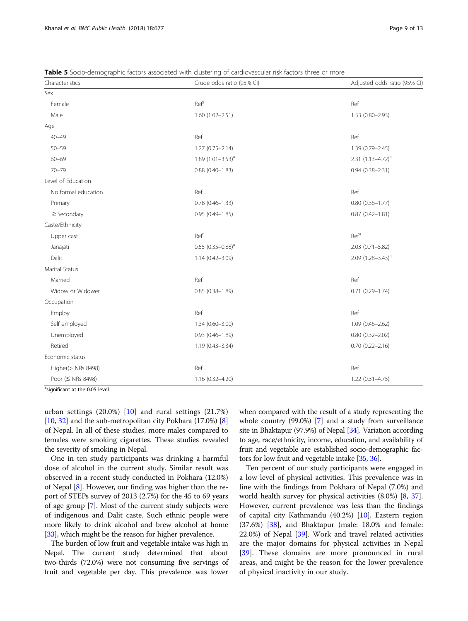<span id="page-8-0"></span>Table 5 Socio-demographic factors associated with clustering of cardiovascular risk factors three or more

| Characteristics     | Crude odds ratio (95% CI) | Adjusted odds ratio (95% CI) |
|---------------------|---------------------------|------------------------------|
| Sex                 |                           |                              |
| Female              | Ref <sup>a</sup>          | Ref                          |
| Male                | $1.60(1.02 - 2.51)$       | $1.53(0.80 - 2.93)$          |
| Age                 |                           |                              |
| $40 - 49$           | Ref                       | Ref                          |
| $50 - 59$           | $1.27(0.75 - 2.14)$       | 1.39 (0.79-2.45)             |
| $60 - 69$           | 1.89 $(1.01 - 3.53)^{a}$  | $2.31 (1.13 - 4.72)^{a}$     |
| $70 - 79$           | $0.88(0.40 - 1.83)$       | $0.94(0.38 - 2.31)$          |
| Level of Education  |                           |                              |
| No formal education | Ref                       | Ref                          |
| Primary             | $0.78(0.46 - 1.33)$       | $0.80(0.36 - 1.77)$          |
| $\geq$ Secondary    | $0.95(0.49 - 1.85)$       | $0.87(0.42 - 1.81)$          |
| Caste/Ethnicity     |                           |                              |
| Upper cast          | Ref <sup>a</sup>          | Ref <sup>a</sup>             |
| Janajati            | $0.55$ $(0.35 - 0.88)^a$  | 2.03 (0.71-5.82)             |
| Dalit               | $1.14(0.42 - 3.09)$       | 2.09 $(1.28 - 3.43)^{a}$     |
| Marital Status      |                           |                              |
| Married             | Ref                       | Ref                          |
| Widow or Widower    | $0.85(0.38 - 1.89)$       | $0.71(0.29 - 1.74)$          |
| Occupation          |                           |                              |
| Employ              | Ref                       | Ref                          |
| Self employed       | $1.34(0.60 - 3.00)$       | $1.09(0.46 - 2.62)$          |
| Unemployed          | $0.93(0.46 - 1.89)$       | $0.80(0.32 - 2.02)$          |
| Retired             | $1.19(0.43 - 3.34)$       | $0.70(0.22 - 2.16)$          |
| Economic status     |                           |                              |
| Higher(> NRs 8498)  | Ref                       | Ref                          |
| Poor (≤ NRs 8498)   | $1.16(0.32 - 4.20)$       | $1.22(0.31 - 4.75)$          |

<sup>a</sup>significant at the 0.05 level

urban settings (20.0%) [[10\]](#page-11-0) and rural settings (21.7%) [[10](#page-11-0), [32\]](#page-11-0) and the sub-metropolitan city Pokhara (17.0%) [[8](#page-11-0)] of Nepal. In all of these studies, more males compared to females were smoking cigarettes. These studies revealed the severity of smoking in Nepal.

One in ten study participants was drinking a harmful dose of alcohol in the current study. Similar result was observed in a recent study conducted in Pokhara (12.0%) of Nepal [[8\]](#page-11-0). However, our finding was higher than the report of STEPs survey of 2013 (2.7%) for the 45 to 69 years of age group [\[7](#page-11-0)]. Most of the current study subjects were of indigenous and Dalit caste. Such ethnic people were more likely to drink alcohol and brew alcohol at home [[33](#page-11-0)], which might be the reason for higher prevalence.

The burden of low fruit and vegetable intake was high in Nepal. The current study determined that about two-thirds (72.0%) were not consuming five servings of fruit and vegetable per day. This prevalence was lower when compared with the result of a study representing the whole country (99.0%) [[7](#page-11-0)] and a study from surveillance site in Bhaktapur (97.9%) of Nepal [[34](#page-11-0)]. Variation according to age, race/ethnicity, income, education, and availability of fruit and vegetable are established socio-demographic factors for low fruit and vegetable intake [\[35](#page-11-0), [36](#page-11-0)].

Ten percent of our study participants were engaged in a low level of physical activities. This prevalence was in line with the findings from Pokhara of Nepal (7.0%) and world health survey for physical activities (8.0%) [[8,](#page-11-0) [37](#page-11-0)]. However, current prevalence was less than the findings of capital city Kathmandu (40.2%) [[10\]](#page-11-0), Eastern region (37.6%) [\[38\]](#page-11-0), and Bhaktapur (male: 18.0% and female: 22.0%) of Nepal [[39\]](#page-11-0). Work and travel related activities are the major domains for physical activities in Nepal [[39\]](#page-11-0). These domains are more pronounced in rural areas, and might be the reason for the lower prevalence of physical inactivity in our study.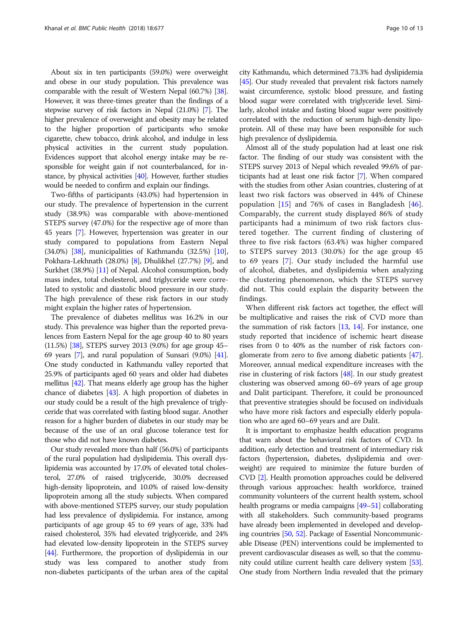About six in ten participants (59.0%) were overweight and obese in our study population. This prevalence was comparable with the result of Western Nepal (60.7%) [\[38](#page-11-0)]. However, it was three-times greater than the findings of a stepwise survey of risk factors in Nepal (21.0%) [[7](#page-11-0)]. The higher prevalence of overweight and obesity may be related to the higher proportion of participants who smoke cigarette, chew tobacco, drink alcohol, and indulge in less physical activities in the current study population. Evidences support that alcohol energy intake may be responsible for weight gain if not counterbalanced, for instance, by physical activities [[40\]](#page-11-0). However, further studies would be needed to confirm and explain our findings.

Two-fifths of participants (43.0%) had hypertension in our study. The prevalence of hypertension in the current study (38.9%) was comparable with above-mentioned STEPS survey (47.0%) for the respective age of more than 45 years [\[7\]](#page-11-0). However, hypertension was greater in our study compared to populations from Eastern Nepal (34.0%) [\[38\]](#page-11-0), municipalities of Kathmandu (32.5%) [[10](#page-11-0)], Pokhara-Lekhnath (28.0%) [\[8\]](#page-11-0), Dhulikhel (27.7%) [\[9](#page-11-0)], and Surkhet (38.9%) [[11](#page-11-0)] of Nepal. Alcohol consumption, body mass index, total cholesterol, and triglyceride were correlated to systolic and diastolic blood pressure in our study. The high prevalence of these risk factors in our study might explain the higher rates of hypertension.

The prevalence of diabetes mellitus was 16.2% in our study. This prevalence was higher than the reported prevalences from Eastern Nepal for the age group 40 to 80 years (11.5%) [[38](#page-11-0)], STEPS survey 2013 (9.0%) for age group 45– 69 years [\[7](#page-11-0)], and rural population of Sunsari (9.0%) [\[41](#page-11-0)]. One study conducted in Kathmandu valley reported that 25.9% of participants aged 60 years and older had diabetes mellitus [\[42](#page-11-0)]. That means elderly age group has the higher chance of diabetes [\[43\]](#page-11-0). A high proportion of diabetes in our study could be a result of the high prevalence of triglyceride that was correlated with fasting blood sugar. Another reason for a higher burden of diabetes in our study may be because of the use of an oral glucose tolerance test for those who did not have known diabetes.

Our study revealed more than half (56.0%) of participants of the rural population had dyslipidemia. This overall dyslipidemia was accounted by 17.0% of elevated total cholesterol, 27.0% of raised triglyceride, 30.0% decreased high-density lipoprotein, and 10.0% of raised low-density lipoprotein among all the study subjects. When compared with above-mentioned STEPS survey, our study population had less prevalence of dyslipidemia. For instance, among participants of age group 45 to 69 years of age, 33% had raised cholesterol, 35% had elevated triglyceride, and 24% had elevated low-density lipoprotein in the STEPS survey [[44](#page-11-0)]. Furthermore, the proportion of dyslipidemia in our study was less compared to another study from non-diabetes participants of the urban area of the capital

city Kathmandu, which determined 73.3% had dyslipidemia [[45](#page-11-0)]. Our study revealed that prevalent risk factors namely waist circumference, systolic blood pressure, and fasting blood sugar were correlated with triglyceride level. Similarly, alcohol intake and fasting blood sugar were positively correlated with the reduction of serum high-density lipoprotein. All of these may have been responsible for such high prevalence of dyslipidemia.

Almost all of the study population had at least one risk factor. The finding of our study was consistent with the STEPS survey 2013 of Nepal which revealed 99.6% of participants had at least one risk factor [[7](#page-11-0)]. When compared with the studies from other Asian countries, clustering of at least two risk factors was observed in 44% of Chinese population  $[15]$  $[15]$  and 76% of cases in Bangladesh  $[46]$  $[46]$ . Comparably, the current study displayed 86% of study participants had a minimum of two risk factors clustered together. The current finding of clustering of three to five risk factors (63.4%) was higher compared to STEPS survey 2013 (30.0%) for the age group 45 to 69 years [[7\]](#page-11-0). Our study included the harmful use of alcohol, diabetes, and dyslipidemia when analyzing the clustering phenomenon, which the STEPS survey did not. This could explain the disparity between the findings.

When different risk factors act together, the effect will be multiplicative and raises the risk of CVD more than the summation of risk factors [[13](#page-11-0), [14\]](#page-11-0). For instance, one study reported that incidence of ischemic heart disease rises from 0 to 40% as the number of risk factors conglomerate from zero to five among diabetic patients [[47](#page-11-0)]. Moreover, annual medical expenditure increases with the rise in clustering of risk factors  $[48]$  $[48]$  $[48]$ . In our study greatest clustering was observed among 60–69 years of age group and Dalit participant. Therefore, it could be pronounced that preventive strategies should be focused on individuals who have more risk factors and especially elderly population who are aged 60–69 years and are Dalit.

It is important to emphasize health education programs that warn about the behavioral risk factors of CVD. In addition, early detection and treatment of intermediary risk factors (hypertension, diabetes, dyslipidemia and overweight) are required to minimize the future burden of CVD [\[2\]](#page-10-0). Health promotion approaches could be delivered through various approaches: health workforce, trained community volunteers of the current health system, school health programs or media campaigns [\[49](#page-11-0)–[51\]](#page-12-0) collaborating with all stakeholders. Such community-based programs have already been implemented in developed and developing countries [\[50](#page-11-0), [52\]](#page-12-0). Package of Essential Noncommunicable Disease (PEN) interventions could be implemented to prevent cardiovascular diseases as well, so that the community could utilize current health care delivery system [\[53](#page-12-0)]. One study from Northern India revealed that the primary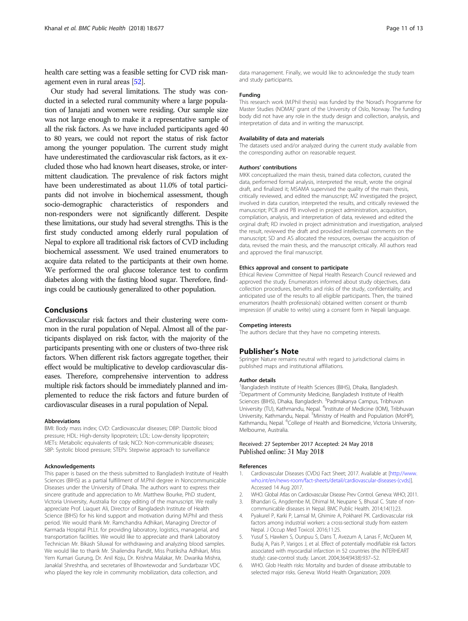<span id="page-10-0"></span>health care setting was a feasible setting for CVD risk management even in rural areas [\[52\]](#page-12-0).

Our study had several limitations. The study was conducted in a selected rural community where a large population of Janajati and women were residing. Our sample size was not large enough to make it a representative sample of all the risk factors. As we have included participants aged 40 to 80 years, we could not report the status of risk factor among the younger population. The current study might have underestimated the cardiovascular risk factors, as it excluded those who had known heart diseases, stroke, or intermittent claudication. The prevalence of risk factors might have been underestimated as about 11.0% of total participants did not involve in biochemical assessment, though socio-demographic characteristics of responders and non-responders were not significantly different. Despite these limitations, our study had several strengths. This is the first study conducted among elderly rural population of Nepal to explore all traditional risk factors of CVD including biochemical assessment. We used trained enumerators to acquire data related to the participants at their own home. We performed the oral glucose tolerance test to confirm diabetes along with the fasting blood sugar. Therefore, findings could be cautiously generalized to other population.

# Conclusions

Cardiovascular risk factors and their clustering were common in the rural population of Nepal. Almost all of the participants displayed on risk factor, with the majority of the participants presenting with one or clusters of two-three risk factors. When different risk factors aggregate together, their effect would be multiplicative to develop cardiovascular diseases. Therefore, comprehensive intervention to address multiple risk factors should be immediately planned and implemented to reduce the risk factors and future burden of cardiovascular diseases in a rural population of Nepal.

#### Abbreviations

BMI: Body mass index; CVD: Cardiovascular diseases; DBP: Diastolic blood pressure; HDL: High-density lipoprotein; LDL: Low-density lipoprotein; METs: Metabolic equivalents of task; NCD: Non-communicable diseases; SBP: Systolic blood pressure; STEPs: Stepwise approach to surveillance

#### Acknowledgements

This paper is based on the thesis submitted to Bangladesh Institute of Health Sciences (BIHS) as a partial fulfillment of M.Phil degree in Noncommunicable Diseases under the University of Dhaka. The authors want to express their sincere gratitude and appreciation to Mr. Matthew Bourke, PhD student, Victoria University, Australia for copy editing of the manuscript. We really appreciate Prof. Liaquet Ali, Director of Bangladesh Institute of Health Science (BIHS) for his kind support and motivation during M.Phil and thesis period. We would thank Mr. Ramchandra Adhikari, Managing Director of Karmada Hospital Pt.Lt. for providing laboratory, logistics, managerial, and transportation facilities. We would like to appreciate and thank Laboratory Technician Mr. Bikash Siluwal for withdrawing and analyzing blood samples. We would like to thank Mr. Shailendra Pandit, Miss Pratiksha Adhikari, Miss Yem Kumari Gurung, Dr. Anil Koju, Dr. Krishna Malakar, Mr. Dwarika Mishra, Janaklal Shreshtha, and secretaries of Bhowtewodar and Sundarbazar VDC who played the key role in community mobilization, data collection, and

data management. Finally, we would like to acknowledge the study team and study participants.

#### Funding

This research work (M.Phil thesis) was funded by the 'Norad's Programme for Master Studies (NOMA)' grant of the University of Oslo, Norway. The funding body did not have any role in the study design and collection, analysis, and interpretation of data and in writing the manuscript.

#### Availability of data and materials

The datasets used and/or analyzed during the current study available from the corresponding author on reasonable request.

#### Authors' contributions

MKK conceptualized the main thesis, trained data collectors, curated the data, performed formal analysis, interpreted the result, wrote the original draft, and finalized it; MSAMA supervised the quality of the main thesis, critically reviewed, and edited the manuscript; MZ investigated the project, involved in data curation, interpreted the results, and critically reviewed the manuscript; PCB and PB involved in project administration, acquisition, compilation, analysis, and interpretation of data, reviewed and edited the orginal draft; RD involed in project administration and investigation, analysed the result, reviewed the draft and provided intellectual comments on the manuscript; SD and AS allocated the resources, oversaw the acquisition of data, revised the main thesis, and the manuscript critically. All authors read and approved the final manuscript.

#### Ethics approval and consent to participate

Ethical Review Committee of Nepal Health Research Council reviewed and approved the study. Enumerators informed about study objectives, data collection procedures, benefits and risks of the study, confidentiality, and anticipated use of the results to all eligible participants. Then, the trained enumerators (health professionals) obtained written consent or thumb impression (if unable to write) using a consent form in Nepali language.

#### Competing interests

The authors declare that they have no competing interests.

#### Publisher's Note

Springer Nature remains neutral with regard to jurisdictional claims in published maps and institutional affiliations.

#### Author details

<sup>1</sup> Bangladesh Institute of Health Sciences (BIHS), Dhaka, Bangladesh 2 Department of Community Medicine, Bangladesh Institute of Health Sciences (BIHS), Dhaka, Bangladesh. <sup>3</sup>Padmakanya Campus, Tribhuvan<br>University (TU), Kathmandu, Nepal. <sup>4</sup>Institute of Medicine (IOM), Tribhuvan University, Kathmandu, Nepal. <sup>5</sup>Ministry of Health and Population (MoHP) Kathmandu, Nepal. <sup>6</sup>College of Health and Biomedicine, Victoria University Melbourne, Australia.

## Received: 27 September 2017 Accepted: 24 May 2018 Published online: 31 May 2018

#### References

- 1. Cardiovascular Diseases (CVDs) Fact Sheet; 2017. Available at [[http://www.](http://www.who.int/en/news-room/fact-sheets/detail/cardiovascular-diseases-(cvds)) [who.int/en/news-room/fact-sheets/detail/cardiovascular-diseases-\(cvds\)\]](http://www.who.int/en/news-room/fact-sheets/detail/cardiovascular-diseases-(cvds)). Accessed 14 Aug 2017.
- 2. WHO. Global Atlas on Cardiovascular Disease Prev Control. Geneva: WHO; 2011.
- Bhandari G, Angdembe M, Dhimal M, Neupane S, Bhusal C. State of noncommunicable diseases in Nepal. BMC Public Health. 2014;14(1):23.
- 4. Pyakurel P, Karki P, Lamsal M, Ghimire A, Pokharel PK. Cardiovascular risk factors among industrial workers: a cross-sectional study from eastern Nepal. J Occup Med Toxicol. 2016;11:25.
- 5. Yusuf S, Hawken S, Ounpuu S, Dans T, Avezum A, Lanas F, McQueen M, Budaj A, Pais P, Varigos J, et al. Effect of potentially modifiable risk factors associated with myocardial infarction in 52 countries (the INTERHEART study): case-control study. Lancet. 2004;364(9438):937–52.
- 6. WHO. Glob Health risks: Mortality and burden of disease attributable to selected major risks. Geneva: World Health Organization; 2009.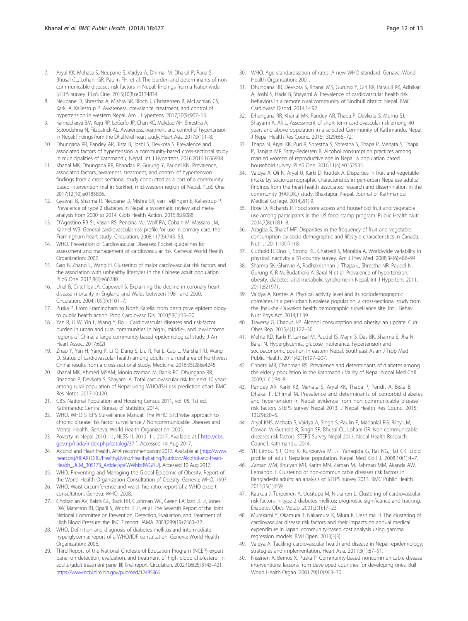- <span id="page-11-0"></span>7. Aryal KK, Mehata S, Neupane S, Vaidya A, Dhimal M, Dhakal P, Rana S, Bhusal CL, Lohani GR, Paulin FH, et al. The burden and determinants of non communicable diseases risk factors in Nepal: findings from a Nationwide STEPS survey. PLoS One. 2015;10(8):e0134834.
- 8. Neupane D, Shrestha A, Mishra SR, Bloch J, Christensen B, McLachlan CS, Karki A, Kallestrup P. Awareness, prevalence, treatment, and control of hypertension in western Nepal. Am J Hypertens. 2017;30(9):907–13.
- 9. Karmacharya BM, Koju RP, LoGerfo JP, Chan KC, Mokdad AH, Shrestha A, Sotoodehnia N, Fitzpatrick AL. Awareness, treatment and control of hypertension in Nepal: findings from the Dhulikhel heart study. Heart Asia. 2017;9(1):1-8.
- 10. Dhungana RR, Pandey AR, Bista B, Joshi S, Devkota S. Prevalence and associated factors of hypertension: a community-based cross-sectional study in municipalities of Kathmandu, Nepal. Int J Hypertens. 2016;2016:1656938.
- 11. Khanal MK, Dhungana RR, Bhandari P, Gurung Y, Paudel KN. Prevalence, associated factors, awareness, treatment, and control of hypertension: findings from a cross sectional study conducted as a part of a community based intervention trial in Surkhet, mid-western region of Nepal. PLoS One. 2017;12(10):e0185806.
- 12. Gyawali B, Sharma R, Neupane D, Mishra SR, van Teijlingen E, Kallestrup P. Prevalence of type 2 diabetes in Nepal: a systematic review and metaanalysis from 2000 to 2014. Glob Health Action. 2015;8:29088.
- 13. D'Agostino RB Sr, Vasan RS, Pencina MJ, Wolf PA, Cobain M, Massaro JM, Kannel WB. General cardiovascular risk profile for use in primary care: the Framingham heart study. Circulation. 2008;117(6):743–53.
- 14. WHO. Prevention of Cardiovascular Diseases: Pocket guidelines for assessment and management of cardiovascular risk. Geneva: World Health Organization; 2007.
- 15. Gao B, Zhang L, Wang H. Clustering of major cardiovascular risk factors and the association with unhealthy lifestyles in the Chinese adult population. PLoS One. 2013;8(6):e66780.
- 16. Unal B, Critchley JA, Capewell S. Explaining the decline in coronary heart disease mortality in England and Wales between 1981 and 2000. Circulation. 2004;109(9):1101–7.
- 17. Puska P. From Framingham to North Karelia: from descriptive epidemiology to public health action. Prog Cardiovasc Dis. 2010;53(1):15–20.
- 18. Yan R, Li W, Yin L, Wang Y, Bo J. Cardiovascular diseases and risk-factor burden in urban and rural communities in high-, middle-, and low-income regions of China: a large community-based epidemiological study. J Am Heart Assoc. 2017;6(2)
- 19. Zhao Y, Yan H, Yang R, Li Q, Dang S, Liu R, Pei L, Cao L, Marshall RJ, Wang D. Status of cardiovascular health among adults in a rural area of Northwest China: results from a cross-sectional study. Medicine. 2016;95(28):e4245.
- 20. Khanal MK, Ahmed MSAM, Moniruzzaman M, Banik PC, Dhungana RR, Bhandari P, Devkota S, Shayami A. Total cardiovascular risk for next 10 years among rural population of Nepal using WHO/ISH risk prediction chart. BMC Res Notes. 2017;10:120.
- 21. CBS. National Population and Housing Census 2011, vol. 05. 1st ed. Kathmandu: Central Bureau of Statistics; 2014.
- 22. WHO. WHO STEPS Surveillance Manual: The WHO STEPwise approach to chronic disease risk factor surveillance / Noncommunicable Diseases and Mental Health. Geneva: World Health Organization; 2005.
- 23. Poverty in Nepal 2010-11, NLSS-III, 2010-11; 2017. Available at [ [http://cbs.](http://cbs.gov.np/nada/index.php/catalog/37) [gov.np/nada/index.php/catalog/37](http://cbs.gov.np/nada/index.php/catalog/37) ]. Accessed 14 Aug 2017.
- 24. Alcohol and Heart Health, AHA recommendation; 2017. Available at [\[http://www.](http://www.heart.org/HEARTORG/HealthyLiving/HealthyEating/Nutrition/Alcohol-and-Heart-Health_UCM_305173_Article.jsp#.WWhfzBWGPIU) [heart.org/HEARTORG/HealthyLiving/HealthyEating/Nutrition/Alcohol-and-Heart-](http://www.heart.org/HEARTORG/HealthyLiving/HealthyEating/Nutrition/Alcohol-and-Heart-Health_UCM_305173_Article.jsp#.WWhfzBWGPIU)[Health\\_UCM\\_305173\\_Article.jsp#.WWhfzBWGPIU\]](http://www.heart.org/HEARTORG/HealthyLiving/HealthyEating/Nutrition/Alcohol-and-Heart-Health_UCM_305173_Article.jsp#.WWhfzBWGPIU). Accessed 10 Aug 2017.
- 25. WHO. Preventing and Managing the Global Epidemic of Obesity. Report of the World Health Organization Consultation of Obesity. Geneva: WHO; 1997.
- 26. WHO. Waist circumference and waist–hip ratio: report of a WHO expert consultation. Geneva: WHO; 2008.
- 27. Chobanian AV, Bakris GL, Black HR, Cushman WC, Green LA, Izzo JL Jr, Jones DW, Materson BJ, Oparil S, Wright JT Jr, et al. The Seventh Report of the Joint National Committee on Prevention, Detection, Evaluation, and Treatment of High Blood Pressure: the JNC 7 report. JAMA. 2003;289(19):2560–72.
- 28. WHO. Definition and diagnosis of diabetes mellitus and intermediate hyperglycemia: report of a WHO/IDF consultation. Geneva: World Health Organization; 2006.
- 29. Third Report of the National Cholesterol Education Program (NCEP) expert panel on detection, evaluation, and treatment of high blood cholesterol in adults (adult treatment panel III) final report. Circulation. 2002;106(25):3143–421. [https://www.ncbi.nlm.nih.gov/pubmed/12485966.](https://www.ncbi.nlm.nih.gov/pubmed/12485966)
- 30. WHO. Age standardization of rates: A new WHO standard. Genava: World Health Organization; 2001.
- 31. Dhungana RR, Devkota S, Khanal MK, Gurung Y, Giri RK, Parajuli RK, Adhikari A, Joshi S, Hada B, Shayami A. Prevalence of cardiovascular health risk behaviors in a remote rural community of Sindhuli district, Nepal. BMC Cardiovasc Disord. 2014;14:92.
- 32. Dhungana RR, Khanal MK, Pandey AR, Thapa P, Devkota S, Mumu SJ, Shayami A, Ali L. Assessment of short term cardiovascular risk among 40 years and above population in a selected Community of Kathmandu, Nepal. J Nepal Health Res Counc. 2015;13(29):66–72.
- 33. Thapa N, Aryal KK, Puri R, Shrestha S, Shrestha S, Thapa P, Mehata S, Thapa P, Banjara MR, Stray-Pedersen B. Alcohol consumption practices among married women of reproductive age in Nepal: a population based household survey. PLoS One. 2016;11(4):e0152535.
- 34. Vaidya A, Oli N, Aryal U, Karki D, Krettek A. Disparties in fruit and vegetable intake by socio-demographic characteristics in peri-urban Nepalese adults: findings from the heart-health associated research and dissemination in the community (HARDIC) study, Bhaktapur, Nepal. Journal of Kathmandu Medical College. 2014;2(1):9.
- 35. Rose D, Richards R. Food store access and household fruit and vegetable use among participants in the US food stamp program. Public Health Nutr. 2004;7(8):1081–8.
- 36. Azagba S, Sharaf MF. Disparities in the frequency of fruit and vegetable consumption by socio-demographic and lifestyle characteristics in Canada. Nutr J. 2011;10(1):118.
- 37. Guthold R, Ono T, Strong KL, Chatterji S, Morabia A. Worldwide variability in physical inactivity a 51-country survey. Am J Prev Med. 2008;34(6):486–94.
- 38. Sharma SK, Ghimire A, Radhakrishnan J, Thapa L, Shrestha NR, Paudel N, Gurung K, R M, Budathoki A, Baral N et al: Prevalence of hypertension, obesity, diabetes, and metabolic syndrome in Nepal. Int J Hypertens 2011, 2011:821971.
- 39. Vaidya A, Krettek A. Physical activity level and its sociodemographic correlates in a peri-urban Nepalese population: a cross-sectional study from the Jhaukhel-Duwakot health demographic surveillance site. Int J Behav Nutr Phys Act. 2014;11:39.
- 40. Traversy G, Chaput J-P. Alcohol consumption and obesity: an update. Curr Obes Rep. 2015;4(1):122–30.
- 41. Mehta KD, Karki P, Lamsal M, Paudel IS, Majhi S, Das BK, Sharma S, Jha N, Baral N. Hyperglycemia, glucose intolerance, hypertension and socioeconomic position in eastern Nepal. Southeast Asian J Trop Med Public Health. 2011;42(1):197–207.
- 42. Chhetri MR, Chapman RS. Prevalence and determinants of diabetes among the elderly population in the Kathmandu Valley of Nepal. Nepal Med Coll J. 2009;11(1):34–8.
- 43. Pandey AR, Karki KB, Mehata S, Aryal KK, Thapa P, Pandit A, Bista B, Dhakal P, Dhimal M. Prevalence and determinants of comorbid diabetes and hypertension in Nepal: evidence from non communicable disease risk factors STEPS survey Nepal 2013. J Nepal Health Res Counc. 2015; 13(29):20–5.
- 44. Aryal KNS, Mehata S, Vaidya A, Singh S, Paulin F, Madanlal RG, Riley LM, Cowan M, Guthold R, Singh SP, Bhusal CL, Lohani GR. Non communicable diseases risk factors: STEPS Survey Nepal 2013. Nepal Health Research Council. Kathmandu; 2014.
- 45. YR Limbu SR, Ono K, Kurokawa M, J-I Yanagida G, Rai NG, Rai CK. Lipid profile of adult Nepalese population. Nepal Med Coll J. 2008;10(1):4–7.
- 46. Zaman MM, Bhuiyan MR, Karim MN, Zaman M, Rahman MM, Akanda AW, Fernando T. Clustering of non-communicable diseases risk factors in Bangladeshi adults: an analysis of STEPS survey 2013. BMC Public Health. 2015;15(1):659.
- 47. Kaukua J, Turpeinen A, Uusitupa M, Niskanen L. Clustering of cardiovascular risk factors in type 2 diabetes mellitus: prognostic significance and tracking. Diabetes Obes Metab. 2001;3(1):17–23.
- 48. Murakami Y, Okamura T, Nakamura K, Miura K, Ueshima H. The clustering of cardiovascular disease risk factors and their impacts on annual medical expenditure in Japan: community-based cost analysis using gamma regression models. BMJ Open. 2013;3(3)
- 49. Vaidya A. Tackling cardiovascular health and disease in Nepal: epidemiology, strategies and implementation. Heart Asia. 2011;3(1):87–91.
- 50. Nissinen A, Berrios X, Puska P. Community-based noncommunicable disease interventions: lessons from developed countries for developing ones. Bull World Health Organ. 2001;79(10):963–70.